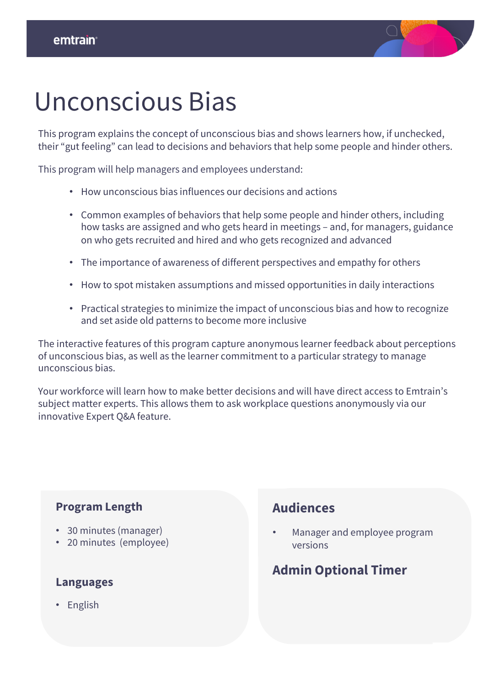

## Unconscious Bias

This program explains the concept of unconscious bias and shows learners how, if unchecked, their "gut feeling" can lead to decisions and behaviors that help some people and hinder others.

This program will help managers and employees understand:

- How unconscious bias influences our decisions and actions
- Common examples of behaviors that help some people and hinder others, including how tasks are assigned and who gets heard in meetings – and, for managers, guidance on who gets recruited and hired and who gets recognized and advanced
- The importance of awareness of different perspectives and empathy for others
- How to spot mistaken assumptions and missed opportunities in daily interactions
- Practical strategies to minimize the impact of unconscious bias and how to recognize and set aside old patterns to become more inclusive

The interactive features of this program capture anonymous learner feedback about perceptions of unconscious bias, as well as the learner commitment to a particular strategy to manage unconscious bias.

Your workforce will learn how to make better decisions and will have direct access to Emtrain's subject matter experts. This allows them to ask workplace questions anonymously via our innovative Expert Q&A feature.

#### **Program Length**

- 30 minutes (manager)
- 20 minutes (employee)

#### **Languages**

• English

### **Audiences**

• Manager and employee program versions

### **Admin Optional Timer**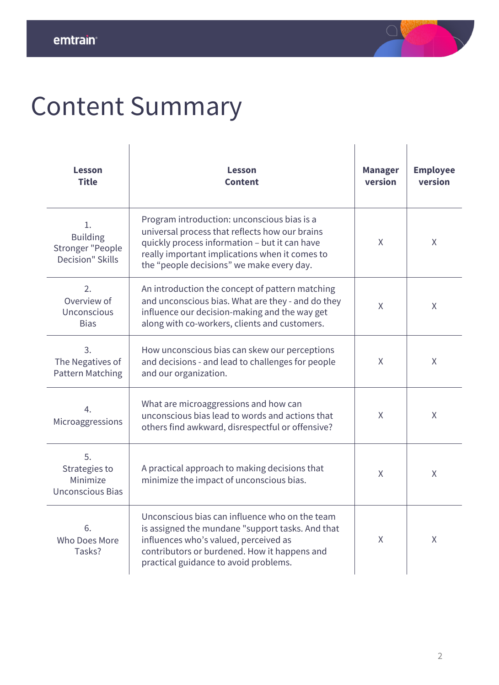

# Content Summary

| Lesson<br><b>Title</b>                                                      | Lesson<br><b>Content</b>                                                                                                                                                                                                                      | <b>Manager</b><br>version | <b>Employee</b><br>version |
|-----------------------------------------------------------------------------|-----------------------------------------------------------------------------------------------------------------------------------------------------------------------------------------------------------------------------------------------|---------------------------|----------------------------|
| 1.<br><b>Building</b><br><b>Stronger "People</b><br><b>Decision" Skills</b> | Program introduction: unconscious bias is a<br>universal process that reflects how our brains<br>quickly process information - but it can have<br>really important implications when it comes to<br>the "people decisions" we make every day. | X                         | X                          |
| 2.<br>Overview of<br>Unconscious<br><b>Bias</b>                             | An introduction the concept of pattern matching<br>and unconscious bias. What are they - and do they<br>influence our decision-making and the way get<br>along with co-workers, clients and customers.                                        | Χ                         | X                          |
| 3.<br>The Negatives of<br><b>Pattern Matching</b>                           | How unconscious bias can skew our perceptions<br>and decisions - and lead to challenges for people<br>and our organization.                                                                                                                   | X.                        | X                          |
| 4.<br>Microaggressions                                                      | What are microaggressions and how can<br>unconscious bias lead to words and actions that<br>others find awkward, disrespectful or offensive?                                                                                                  | Χ                         | X                          |
| 5.<br>Strategies to<br>Minimize<br><b>Unconscious Bias</b>                  | A practical approach to making decisions that<br>minimize the impact of unconscious bias.                                                                                                                                                     | X                         | X                          |
| 6.<br>Who Does More<br>Tasks?                                               | Unconscious bias can influence who on the team<br>is assigned the mundane "support tasks. And that<br>influences who's valued, perceived as<br>contributors or burdened. How it happens and<br>practical guidance to avoid problems.          | X                         | $\sf X$                    |